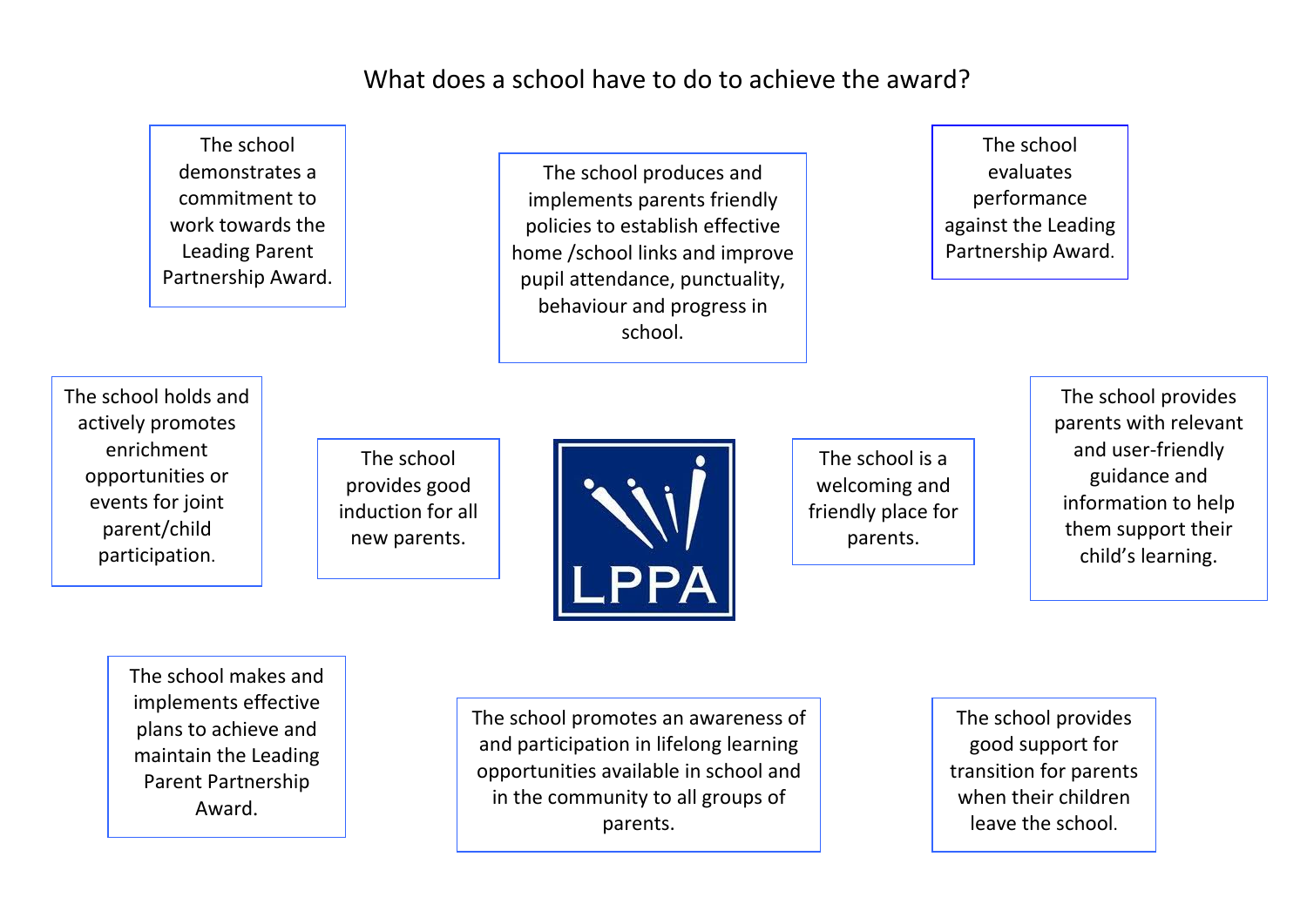What does a school have to do to achieve the award?

The school provides good induction for all new parents. The school produces and implements parents friendly policies to establish effective home /school links and improve pupil attendance, punctuality, behaviour and progress in school. The school holds and actively promotes enrichment opportunities or events for joint parent/child The school demonstrates a commitment to work towards the Leading Parent Partnership Award.

The school evaluates performance against the Leading Partnership Award.

The school is a welcoming and friendly place for parents.

The school provides parents with relevant and user-friendly guidance and information to help them support their child's learning.

The school makes and implements effective plans to achieve and maintain the Leading Parent Partnership Award.

participation.

The school promotes an awareness of and participation in lifelong learning opportunities available in school and in the community to all groups of parents.

The school provides good support for transition for parents when their children leave the school.